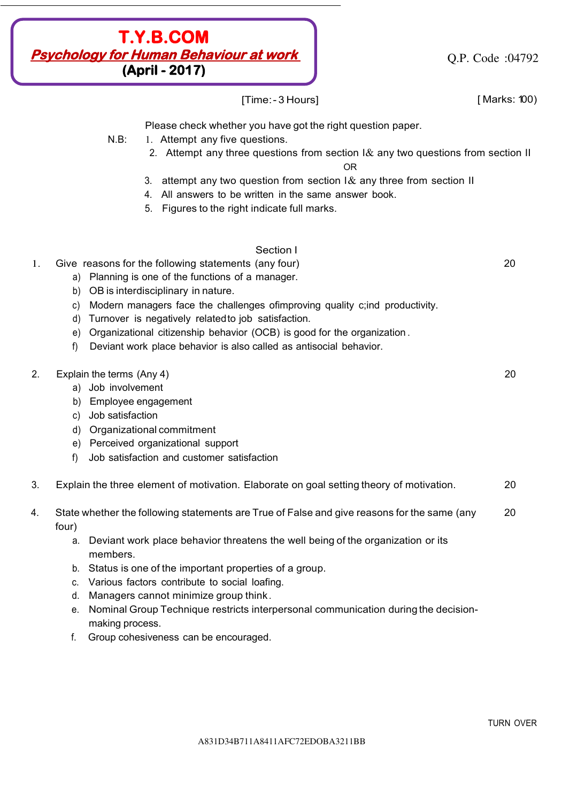

Q.P. Code :04792

[Time: - 3 Hours] [ Marks: 100)

Please check whether you have got the right question paper.

- N.B: 1. Attempt any five questions.
	- 2. Attempt any three questions from section  $1\&$  any two questions from section II

OR

- 3. attempt any two question from section  $1\&$  any three from section II
- 4. All answers to be written in the same answer book.
- 5. Figures to the right indicate full marks.

## Section I

- 1. Give reasons for the following statements (any four) 20
	- a) Planning is one of the functions of a manager.
	- b) OB is interdisciplinary in nature.
	- c) Modern managers face the challenges ofimproving quality c;ind productivity.
	- d) Turnover is negatively relatedto job satisfaction.
	- e) Organizational citizenship behavior (OCB) is good for the organization .
	- f) Deviant work place behavior is also called as antisocial behavior.

### 2. Explain the terms (Any 4) 20

- a) Job involvement
- b) Employee engagement
- c) Job satisfaction
- d) Organizational commitment
- e) Perceived organizational support
- f) Job satisfaction and customer satisfaction
- 3. Explain the three element of motivation. Elaborate on goal setting theory of motivation. 20
- 4. State whether the following statements are True of False and give reasons for the same (any 20 four)
	- a. Deviant work place behavior threatens the well being of the organization or its members.
	- b. Status is one of the important properties of a group.
	- c. Various factors contribute to social loafing.
	- d. Managers cannot minimize group think .
	- e. Nominal Group Technique restricts interpersonal communication during the decisionmaking process.
	- f. Group cohesiveness can be encouraged.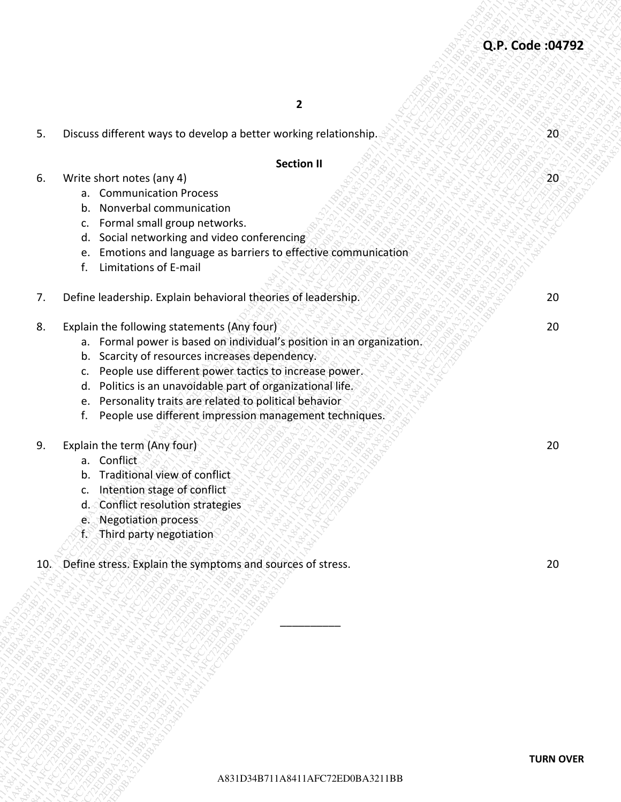|    |                                                                                                                                                                                                                                                                                                                                                                                                                                      | Q.P. Code: 04792 |
|----|--------------------------------------------------------------------------------------------------------------------------------------------------------------------------------------------------------------------------------------------------------------------------------------------------------------------------------------------------------------------------------------------------------------------------------------|------------------|
|    | $\overline{2}$                                                                                                                                                                                                                                                                                                                                                                                                                       |                  |
| 5. | Discuss different ways to develop a better working relationship.                                                                                                                                                                                                                                                                                                                                                                     | 20               |
|    | <b>Section II</b>                                                                                                                                                                                                                                                                                                                                                                                                                    |                  |
| 6. | Write short notes (any 4)<br><b>Communication Process</b><br>a.<br>Nonverbal communication<br>b.                                                                                                                                                                                                                                                                                                                                     | 20 <sup>°</sup>  |
|    | Formal small group networks.<br>c.<br>Social networking and video conferencing<br>d.<br>Emotions and language as barriers to effective communication<br>e.<br>Limitations of E-mail<br>f.                                                                                                                                                                                                                                            |                  |
| 7. | Define leadership. Explain behavioral theories of leadership.                                                                                                                                                                                                                                                                                                                                                                        | 20               |
| 8. | Explain the following statements (Any four)<br>a. Formal power is based on individual's position in an organization.<br>b. Scarcity of resources increases dependency.<br>People use different power tactics to increase power.<br>c.<br>Politics is an unavoidable part of organizational life.<br>d.<br>Personality traits are related to political behavior<br>e.<br>People use different impression management techniques.<br>f. | 20               |
| 9. | Explain the term (Any four)<br>a. Conflict<br>Traditional view of conflict<br>b.<br>Intention stage of conflict<br>c.<br>d. Conflict resolution strategies<br>e. Negotiation process<br>f. Third party negotiation                                                                                                                                                                                                                   | 20               |
| 10 | Define stress. Explain the symptoms and sources of stress.                                                                                                                                                                                                                                                                                                                                                                           | $20\,$           |
|    |                                                                                                                                                                                                                                                                                                                                                                                                                                      |                  |
|    | A831D34B711A8411AFC72ED0BA3211BB                                                                                                                                                                                                                                                                                                                                                                                                     | <b>TURN OVER</b> |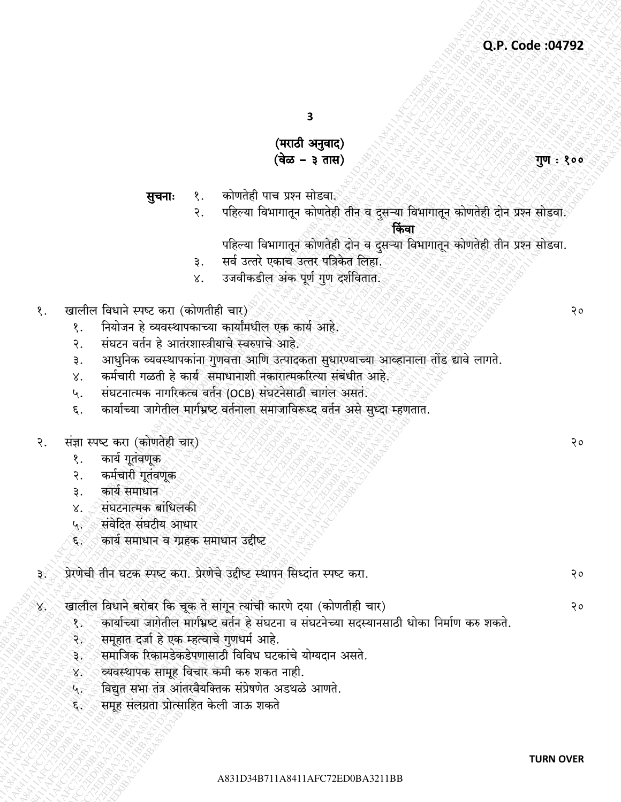$\overline{\mathbf{3}}$ 

# (मराठी अनुवाद) (वेळ – ३ तास)

कोणतेही पाच प्रश्न सोडवाई सूचनाः १.

> पहिल्या विभागातून कोणतेही तीन व दुसऱ्या विभागातून कोणतेही दोन प्रश्न सोडवा.  $\overline{\mathcal{E}}$ .

> > किंवा

- पहिल्या विभागातून कोणतेही दोन व दुसऱ्या विभागातून कोणतेही तीन प्रश्न सोडवा.
- सर्व उत्तरे एकाच उत्तर पत्रिकेत लिहा. ३.
- उजवीकडील अंक पूर्ण गुण दर्शवितात.  $\chi^{\cdot}$
- खालील विधाने स्पष्ट करा (कोणतीही चार) १.
	- नियोजन हे व्यवस्थापकाच्या कार्यांमधील एक कार्य आहे. १.
	- संघटन वर्तन हे आतंरशास्त्रीयाचे स्वरुपाचे आहे.  $\overline{R}$ .
	- आधुनिक व्यवस्थापकांना गुणवत्ता आणि उत्पादकता सुधारण्याच्या आव्हानाला तोंड द्यावे लागते. ₹.
	- कर्मचारी गळती हे कार्य समाधानाशी नकारात्मकरित्या संबंधीत आहे. X.
	- संघटनात्मक नागरिकत्व वर्तन (OCB) संघटनेसाठी चागल असत. ५.
	- कार्याच्या जागेतील मार्गभ्रष्ट वर्तनाला समाजाविरूध्द वर्तन असे सुध्दा म्हणतात.  $\epsilon$ .

#### संज्ञा स्पष्ट करा (कोणतेही चार) २.

- कार्य गूतंवणूक 8.
- कर्मचारी गूतंवणूक २.
- कार्य समाधान ₹.
- संघटनात्मक बांधिलकी X.
- संवेदित संघटीय आधार ي پا
- कार्य समाधान व ग्रहक समाधान उद्दीष्ट ६∜
- प्रेरणेची तीन घटक स्पष्ट करा. प्रेरणेचे उद्दीष्ट स्थापन सिध्दांत स्पष्ट करा. ૩∀
- खालील विधाने बरोबर कि चूक ते सांगून त्यांची कारणे दया (कोणतीही चार) X,
	- कार्याच्या जागेतील मार्गभ्रष्ट वर्तन हे संघटना व संघटनेच्या सदस्यानसाठी धोका निर्माण करु शकते. १२
	- समूहात दर्जा हे एक म्हत्वाचे गुणधर्म आहे. રે
	- समाजिक रिकामडेकडेपणासाठी विविध घटकांचे योग्यदान असते. ₹ಿ
	- व्यवस्थापक सामूह विचार कमी करु शकत नाही.  $8^\circ$
	- विद्युत सभा तंत्र आंतरवैयक्तिक संप्रेषणेत अडथळे आणते.  $\mathbf{A}$
	- समूह संलग्रता प्रोत्साहित केली जाऊ शकते દૈરું

गुण : १००

 $90$ 

 $20$ 

२०

२०